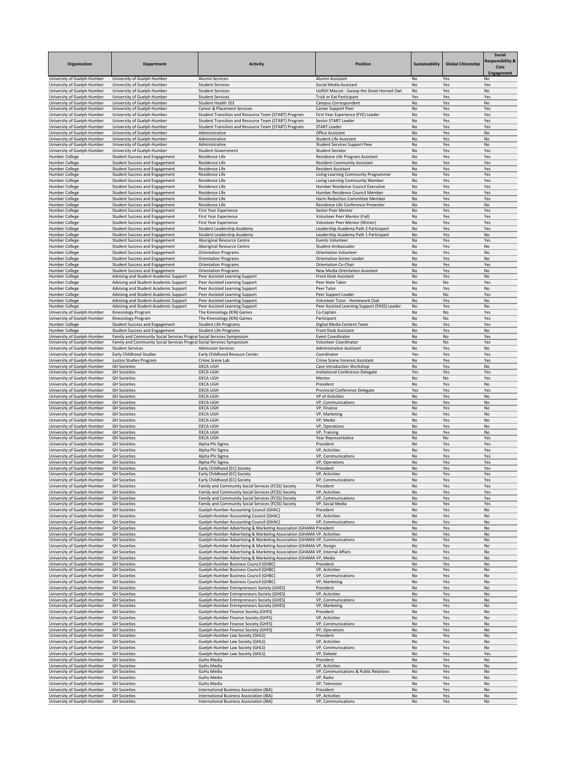| Organization                                               | <b>Department</b>                                                                                               | <b>Activity</b>                                                                                                                                      | <b>Position</b>                                                                | Sustainability  | <b>Global Citizenship</b> | Social<br>Responsibility &<br><b>Civic</b><br>Engagement |
|------------------------------------------------------------|-----------------------------------------------------------------------------------------------------------------|------------------------------------------------------------------------------------------------------------------------------------------------------|--------------------------------------------------------------------------------|-----------------|---------------------------|----------------------------------------------------------|
| University of Guelph-Humber<br>University of Guelph-Humber | University of Guelph-Humber<br>University of Guelph-Humber                                                      | Alumni Services<br><b>Student Services</b>                                                                                                           | Alumni Assistant<br>Social Media Assistant                                     | No<br>No        | Yes<br>Yes                | No.<br>Yes                                               |
| University of Guelph-Humber                                | University of Guelph-Humber                                                                                     | <b>Student Services</b>                                                                                                                              | UofGH Mascot - Swoop the Great Horned Owl                                      | No              | Yes                       | No                                                       |
| University of Guelph-Humber                                | University of Guelph-Humber                                                                                     | <b>Student Services</b>                                                                                                                              | <b>Trick or Eat Participant</b>                                                | Yes             | Yes                       | Yes                                                      |
| University of Guelph-Humber<br>University of Guelph-Humber | University of Guelph-Humber<br>University of Guelph-Humber                                                      | Student Health 101<br><b>Career &amp; Placement Services</b>                                                                                         | Campus Correspondent<br><b>Career Support Peer</b>                             | No<br>No        | Yes<br>Yes                | No<br>Yes                                                |
| University of Guelph-Humber                                | University of Guelph-Humber                                                                                     | Student Transition and Resource Team (START) Program                                                                                                 | First Year Experience (FYE) Leader                                             | No              | Yes                       | Yes                                                      |
| University of Guelph-Humber                                | University of Guelph-Humber                                                                                     | Student Transition and Resource Team (START) Program                                                                                                 | Senior START Leader                                                            | No              | Yes                       | Yes                                                      |
| University of Guelph-Humber                                | University of Guelph-Humber                                                                                     | Student Transition and Resource Team (START) Program                                                                                                 | <b>START Leader</b>                                                            | No              | Yes                       | Yes                                                      |
| University of Guelph-Humber<br>University of Guelph-Humber | University of Guelph-Humber<br>University of Guelph-Humber                                                      | Administrative<br>Administrative                                                                                                                     | <b>Office Assistant</b><br><b>Student Life Assistant</b>                       | No<br>No        | Yes<br>Yes                | No<br>No                                                 |
| University of Guelph-Humber                                | University of Guelph-Humber                                                                                     | Administrative                                                                                                                                       | <b>Student Services Support Peer</b>                                           | No              | Yes                       | No                                                       |
| University of Guelph-Humber                                | University of Guelph-Humber                                                                                     | <b>Student Government</b>                                                                                                                            | <b>Student Senator</b>                                                         | No              | Yes                       | Yes                                                      |
| <b>Humber College</b><br><b>Humber College</b>             | <b>Student Success and Engagement</b><br><b>Student Success and Engagement</b>                                  | Residence Life<br>Residence Life                                                                                                                     | Residence Life Program Assistant<br><b>Resident Community Assistant</b>        | No<br>No        | Yes<br>Yes                | Yes<br>Yes                                               |
| <b>Humber College</b>                                      | <b>Student Success and Engagement</b>                                                                           | Residence Life                                                                                                                                       | <b>Resident Assistant</b>                                                      | No              | Yes                       | Yes                                                      |
| <b>Humber College</b>                                      | <b>Student Success and Engagement</b>                                                                           | Residence Life                                                                                                                                       | Living Learning Community Programmer                                           | No              | Yes                       | Yes                                                      |
| <b>Humber College</b><br><b>Humber College</b>             | <b>Student Success and Engagement</b><br><b>Student Success and Engagement</b>                                  | Residence Life<br>Residence Life                                                                                                                     | Living Learning Community Member<br>Humber Residence Council Executive         | No<br>No        | Yes<br>Yes                | Yes<br>Yes                                               |
| <b>Humber College</b>                                      | <b>Student Success and Engagement</b>                                                                           | Residence Life                                                                                                                                       | Humber Residence Council Member                                                | No              | Yes                       | Yes                                                      |
| <b>Humber College</b>                                      | <b>Student Success and Engagement</b>                                                                           | Residence Life                                                                                                                                       | Harm Reduction Committee Member                                                | No              | Yes                       | Yes                                                      |
| Humber College<br><b>Humber College</b>                    | <b>Student Success and Engagement</b><br><b>Student Success and Engagement</b>                                  | Residence Life<br>First Year Experience                                                                                                              | Residence Life Conference Presenter<br>Senior Peer Mentor                      | No<br>No        | Yes<br>Yes                | No<br>Yes                                                |
| <b>Humber College</b>                                      | <b>Student Success and Engagement</b>                                                                           | First Year Experience                                                                                                                                | Volunteer Peer Mentor (Fall)                                                   | No              | Yes                       | Yes                                                      |
| <b>Humber College</b>                                      | <b>Student Success and Engagement</b>                                                                           | <b>First Year Experience</b>                                                                                                                         | Volunteer Peer Mentor (Winter)                                                 | No              | Yes                       | Yes                                                      |
| <b>Humber College</b><br><b>Humber College</b>             | <b>Student Success and Engagement</b><br><b>Student Success and Engagement</b>                                  | <b>Student Leadership Academy</b><br>Student Leadership Academy                                                                                      | Leadership Academy Path 2 Participant<br>Leadership Academy Path 1 Participant | No<br>No        | Yes<br>Yes                | Yes<br>No                                                |
| <b>Humber College</b>                                      | <b>Student Success and Engagement</b>                                                                           | Aboriginal Resource Centre                                                                                                                           | Events Volunteer                                                               | No              | Yes                       | Yes                                                      |
| <b>Humber College</b>                                      | <b>Student Success and Engagement</b>                                                                           | Aboriginal Resource Centre                                                                                                                           | <b>Student Ambassador</b>                                                      | No              | Yes                       | No                                                       |
| <b>Humber College</b><br><b>Humber College</b>             | <b>Student Success and Engagement</b><br><b>Student Success and Engagement</b>                                  | <b>Orientation Programs</b><br><b>Orientation Programs</b>                                                                                           | <b>Orientation Volunteer</b><br><b>Orientation Senior Leader</b>               | No<br>No        | Yes<br>Yes                | No<br>No                                                 |
| <b>Humber College</b>                                      | <b>Student Success and Engagement</b>                                                                           | <b>Orientation Programs</b>                                                                                                                          | <b>Orientation Co-Chair</b>                                                    | No              | Yes                       | Yes                                                      |
| <b>Humber College</b>                                      | <b>Student Success and Engagement</b>                                                                           | <b>Orientation Programs</b>                                                                                                                          | New Media Orientation Assistant                                                | No              | Yes                       | No                                                       |
| <b>Humber College</b>                                      | Advising and Student Academic Support                                                                           | Peer Assisted Learning Support                                                                                                                       | Front Desk Assistant                                                           | No              | Yes                       | No                                                       |
| <b>Humber College</b><br><b>Humber College</b>             | Advising and Student Academic Support<br>Advising and Student Academic Support                                  | Peer Assisted Learning Support<br>Peer Assisted Learning Support                                                                                     | Peer Note Taker<br>Peer Tutor                                                  | No<br>No        | No<br>Yes                 | Yes<br>No                                                |
| <b>Humber College</b>                                      | Advising and Student Academic Support                                                                           | Peer Assisted Learning Support                                                                                                                       | Peer Support Leader                                                            | No              | No                        | Yes                                                      |
| <b>Humber College</b>                                      | Advising and Student Academic Support                                                                           | Peer Assisted Learning Support                                                                                                                       | Volunteer Tutor - Homework Club                                                | No              | Yes                       | No                                                       |
| <b>Humber College</b><br>University of Guelph-Humber       | Advising and Student Academic Support<br>Kinesiology Program                                                    | Peer Assisted Learning Support<br>The Kinesiology (KIN) Games                                                                                        | Peer Assisted Learning Support (PASS) Leader<br>Co-Captain                     | No<br>No        | Yes<br>No                 | No<br>Yes                                                |
| University of Guelph-Humber                                | Kinesiology Program                                                                                             | The Kinesiology (KIN) Games                                                                                                                          | Participant                                                                    | No              | No                        | Yes                                                      |
| Humber College                                             | <b>Student Success and Engagement</b>                                                                           | <b>Student Life Programs</b>                                                                                                                         | Digital Media Content Team                                                     | No              | Yes                       | Yes                                                      |
| <b>Humber College</b><br>University of Guelph-Humber       | <b>Student Success and Engagement</b><br>Family and Community Social Services Prograr Social Services Symposium | <b>Student Life Programs</b>                                                                                                                         | Front Desk Assistant<br><b>Event Coordinator</b>                               | No<br>No        | Yes<br>No                 | No<br>Yes                                                |
| University of Guelph-Humber                                | Family and Community Social Services Prograr Social Services Symposium                                          |                                                                                                                                                      | Volunteer Coordinator                                                          | No              | No                        | Yes                                                      |
| University of Guelph-Humber                                | <b>Student Services</b>                                                                                         | <b>Admission Services</b>                                                                                                                            | <b>Administrative Assistant</b>                                                | No              | Yes                       | No                                                       |
| University of Guelph-Humber<br>University of Guelph-Humber | <b>Early Childhood Studies</b><br>Justice Studies Program                                                       | Early Childhood Resouce Center<br>Crime Scene Lab                                                                                                    | Coordinator<br>Crime Scene Forensic Assistant                                  | Yes<br>No       | Yes<br>Yes                | Yes<br>Yes                                               |
| University of Guelph-Humber                                | <b>GH Societies</b>                                                                                             | <b>DECA UGH</b>                                                                                                                                      | Case Introduction Workshop                                                     | No              | Yes                       | No                                                       |
| University of Guelph-Humber                                | <b>GH Societies</b>                                                                                             | <b>DECA UGH</b>                                                                                                                                      | Invitational Conference Delegate                                               | Yes             | Yes                       | Yes                                                      |
| University of Guelph-Humber<br>University of Guelph-Humber | <b>GH Societies</b><br><b>GH Societies</b>                                                                      | <b>DECA UGH</b><br><b>DECA UGH</b>                                                                                                                   | Mentor<br>President                                                            | No<br>No        | No<br>Yes                 | Yes<br>No                                                |
| University of Guelph-Humber                                | <b>GH Societies</b>                                                                                             | <b>DECA UGH</b>                                                                                                                                      | <b>Provincial Conference Delegate</b>                                          | Yes             | Yes                       | Yes                                                      |
| University of Guelph-Humber                                | <b>GH Societies</b>                                                                                             | <b>DECA UGH</b>                                                                                                                                      | VP of Activities                                                               | No              | Yes                       | No                                                       |
| University of Guelph-Humber<br>University of Guelph-Humber | <b>GH Societies</b><br><b>GH Societies</b>                                                                      | <b>DECA UGH</b><br><b>DECA UGH</b>                                                                                                                   | VP, Communications<br>VP, Finance                                              | No<br>No        | Yes<br>Yes                | No<br>No                                                 |
| University of Guelph-Humber                                | <b>GH Societies</b>                                                                                             | <b>DECA UGH</b>                                                                                                                                      | VP, Marketing                                                                  | No              | Yes                       | No                                                       |
| University of Guelph-Humber                                | <b>GH Societies</b>                                                                                             | <b>DECA UGH</b>                                                                                                                                      | VP, Media                                                                      | No              | Yes                       | No                                                       |
| University of Guelph-Humber<br>University of Guelph-Humber | <b>GH Societies</b><br><b>GH Societies</b>                                                                      | <b>DECA UGH</b><br><b>DECA UGH</b>                                                                                                                   | VP, Operations<br>VP, Training                                                 | No<br><b>No</b> | Yes<br>Yes                | No<br>No                                                 |
| University of Guelph-Humber                                | <b>GH Societies</b>                                                                                             | <b>DECA UGH</b>                                                                                                                                      | Year Representative                                                            | No              | No                        | Yes                                                      |
| University of Guelph-Humber                                | <b>GH Societies</b>                                                                                             | Alpha Phi Sigma                                                                                                                                      | President                                                                      | No              | Yes                       | Yes                                                      |
| University of Guelph-Humber<br>University of Guelph-Humber | <b>GH Societies</b><br><b>GH Societies</b>                                                                      | Alpha Phi Sigma<br>Alpha Phi Sigma                                                                                                                   | VP, Activities<br>VP, Communications                                           | No<br>No        | Yes<br>Yes                | Yes<br>Yes                                               |
| University of Guelph-Humber                                | <b>GH Societies</b>                                                                                             | Alpha Phi Sigma                                                                                                                                      | VP, Operations                                                                 | No              | Yes                       | Yes                                                      |
| University of Guelph-Humber                                | <b>GH Societies</b>                                                                                             | Early Childhood (EC) Society                                                                                                                         | President                                                                      | No              | Yes                       | Yes                                                      |
| University of Guelph-Humber<br>University of Guelph-Humber | <b>GH Societies</b><br><b>GH Societies</b>                                                                      | Early Childhood (EC) Society<br>Early Childhood (EC) Society                                                                                         | VP, Activities<br>VP, Communications                                           | No<br>No        | Yes<br>Yes                | Yes<br>Yes                                               |
| University of Guelph-Humber                                | <b>GH Societies</b>                                                                                             | Family and Community Social Services (FCSS) Society                                                                                                  | President                                                                      | No              | Yes                       | Yes                                                      |
| University of Guelph-Humber                                | <b>GH Societies</b>                                                                                             | Family and Community Social Services (FCSS) Society                                                                                                  | VP, Activities                                                                 | No              | Yes                       | Yes                                                      |
| University of Guelph-Humber<br>University of Guelph-Humber | <b>GH Societies</b><br><b>GH Societies</b>                                                                      | Family and Community Social Services (FCSS) Society<br>Family and Community Social Services (FCSS) Society                                           | VP, Communications<br>VP, Social Media                                         | No<br>No        | Yes<br>Yes                | Yes<br>Yes                                               |
| University of Guelph-Humber                                | <b>GH Societies</b>                                                                                             | <b>Guelph-Humber Accounting Council (GHAC)</b>                                                                                                       | President                                                                      | No              | Yes                       | No                                                       |
| University of Guelph-Humber                                | <b>GH Societies</b>                                                                                             | Guelph-Humber Accounting Council (GHAC)                                                                                                              | VP, Activities                                                                 | No              | Yes                       | No                                                       |
| University of Guelph-Humber<br>University of Guelph-Humber | <b>GH Societies</b><br><b>GH Societies</b>                                                                      | <b>Guelph-Humber Accounting Council (GHAC)</b><br>Guelph-Humber Advertising & Marketing Association (GHAMA President                                 | VP, Communications                                                             | No<br>No        | Yes<br>Yes                | No<br>No                                                 |
| University of Guelph-Humber                                | <b>GH Societies</b>                                                                                             | Guelph-Humber Advertising & Marketing Association (GHAMA VP, Activities                                                                              |                                                                                | No              | Yes                       | No                                                       |
| University of Guelph-Humber                                | <b>GH Societies</b>                                                                                             | Guelph-Humber Advertising & Marketing Association (GHAMA VP, Communications                                                                          |                                                                                | No              | Yes                       | No                                                       |
| University of Guelph-Humber<br>University of Guelph-Humber | <b>GH Societies</b><br><b>GH Societies</b>                                                                      | Guelph-Humber Advertising & Marketing Association (GHAMA VP, Design<br>Guelph-Humber Advertising & Marketing Association (GHAMA VP, Internal Affairs |                                                                                | No<br>No        | Yes<br>Yes                | No<br>No                                                 |
| University of Guelph-Humber                                | <b>GH Societies</b>                                                                                             | Guelph-Humber Advertising & Marketing Association (GHAMA VP, Media                                                                                   |                                                                                | No              | Yes                       | No                                                       |
| University of Guelph-Humber                                | <b>GH Societies</b>                                                                                             | Guelph-Humber Business Council (GHBC)                                                                                                                | President                                                                      | No              | Yes                       | No                                                       |
| University of Guelph-Humber<br>University of Guelph-Humber | <b>GH Societies</b><br><b>GH Societies</b>                                                                      | Guelph-Humber Business Council (GHBC)<br>Guelph-Humber Business Council (GHBC)                                                                       | VP, Activities<br>VP, Communications                                           | No<br>No        | Yes<br>Yes                | No<br>No                                                 |
| University of Guelph-Humber                                | <b>GH Societies</b>                                                                                             | Guelph-Humber Business Council (GHBC)                                                                                                                | VP, Marketing                                                                  | No              | Yes                       | No                                                       |
| University of Guelph-Humber                                | <b>GH Societies</b>                                                                                             | <b>Guelph-Humber Entrepreneurs Society (GHES)</b>                                                                                                    | President                                                                      | No              | Yes                       | No                                                       |
| University of Guelph-Humber<br>University of Guelph-Humber | <b>GH Societies</b><br><b>GH Societies</b>                                                                      | <b>Guelph-Humber Entrepreneurs Society (GHES)</b><br><b>Guelph-Humber Entrepreneurs Society (GHES)</b>                                               | VP, Activities<br>VP, Communications                                           | No<br>No        | Yes<br>Yes                | No<br>No                                                 |
| University of Guelph-Humber                                | <b>GH Societies</b>                                                                                             | <b>Guelph-Humber Entrepreneurs Society (GHES)</b>                                                                                                    | VP, Marketing                                                                  | No              | Yes                       | No                                                       |
| University of Guelph-Humber                                | <b>GH Societies</b>                                                                                             | <b>Guelph-Humber Finance Society (GHFS)</b>                                                                                                          | President                                                                      | No              | Yes                       | No                                                       |
| University of Guelph-Humber<br>University of Guelph-Humber | <b>GH Societies</b><br><b>GH Societies</b>                                                                      | <b>Guelph-Humber Finance Society (GHFS)</b><br><b>Guelph-Humber Finance Society (GHFS)</b>                                                           | VP, Activities<br>VP, Communications                                           | No<br>No        | Yes<br>Yes                | No<br>No                                                 |
| University of Guelph-Humber                                | <b>GH Societies</b>                                                                                             | <b>Guelph-Humber Finance Society (GHFS)</b>                                                                                                          | VP, Operations                                                                 | No              | Yes                       | No                                                       |
| University of Guelph-Humber                                | <b>GH Societies</b>                                                                                             | Guelph-Humber Law Society (GHLS)                                                                                                                     | President                                                                      | No              | Yes                       | No                                                       |
| University of Guelph-Humber<br>University of Guelph-Humber | <b>GH Societies</b><br><b>GH Societies</b>                                                                      | Guelph-Humber Law Society (GHLS)<br>Guelph-Humber Law Society (GHLS)                                                                                 | VP, Activities<br>VP, Communications                                           | No<br>No        | Yes<br>Yes                | No<br>No                                                 |
| University of Guelph-Humber                                | <b>GH Societies</b>                                                                                             | Guelph-Humber Law Society (GHLS)                                                                                                                     | VP, Debate                                                                     | No              | Yes                       | Yes                                                      |
| University of Guelph-Humber                                | <b>GH Societies</b>                                                                                             | <b>GuHu Media</b>                                                                                                                                    | President                                                                      | No              | Yes                       | No                                                       |
| University of Guelph-Humber<br>University of Guelph-Humber | <b>GH Societies</b><br><b>GH Societies</b>                                                                      | <b>GuHu Media</b><br><b>GuHu Media</b>                                                                                                               | VP, Activities<br>VP, Communications & Public Relations                        | No<br>No        | Yes<br>Yes                | No<br>No                                                 |
| University of Guelph-Humber                                | <b>GH Societies</b>                                                                                             | <b>GuHu Media</b>                                                                                                                                    | VP, Radio                                                                      | No              | Yes                       | No                                                       |
| University of Guelph-Humber                                | <b>GH Societies</b>                                                                                             | <b>GuHu Media</b>                                                                                                                                    | VP, Television                                                                 | No              | Yes                       | No                                                       |
| University of Guelph-Humber                                | <b>GH Societies</b>                                                                                             | International Business Association (IBA)                                                                                                             | President                                                                      | No              | Yes                       | No                                                       |
| University of Guelph-Humber<br>University of Guelph-Humber | <b>GH Societies</b><br><b>GH Societies</b>                                                                      | International Business Association (IBA)<br>International Business Association (IBA)                                                                 | VP, Activities<br>VP, Communications                                           | No<br>No        | Yes<br>Yes                | No<br>No                                                 |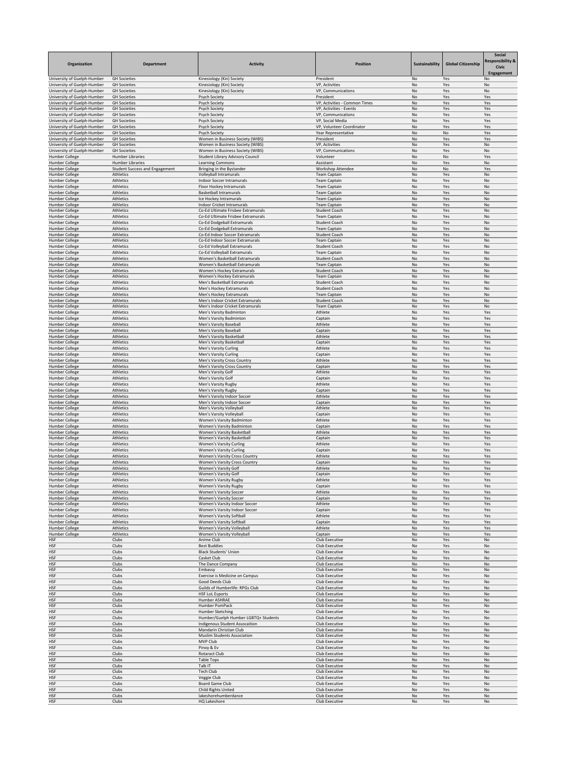| Organization                                               | <b>Department</b>                                  | <b>Activity</b>                                                         | <b>Position</b>                                          | Sustainability | <b>Global Citizenship</b> | <b>Social</b><br><b>Responsibility &amp;</b><br><b>Civic</b><br>Engagement |
|------------------------------------------------------------|----------------------------------------------------|-------------------------------------------------------------------------|----------------------------------------------------------|----------------|---------------------------|----------------------------------------------------------------------------|
| University of Guelph-Humber                                | <b>GH Societies</b>                                | Kinesiology (Kin) Society                                               | President                                                | No             | Yes                       | No                                                                         |
| University of Guelph-Humber<br>University of Guelph-Humber | <b>GH Societies</b><br><b>GH Societies</b>         | Kinesiology (Kin) Society<br>Kinesiology (Kin) Society                  | VP, Activities<br>VP, Communications                     | No<br>No       | Yes<br>Yes                | No<br>No                                                                   |
| University of Guelph-Humber                                | <b>GH Societies</b>                                | <b>Psych Society</b>                                                    | President                                                | No             | Yes                       | Yes                                                                        |
| University of Guelph-Humber<br>University of Guelph-Humber | <b>GH Societies</b><br><b>GH Societies</b>         | <b>Psych Society</b>                                                    | VP, Activities - Common Times<br>VP, Activities - Events | No<br>No       | Yes<br>Yes                | Yes<br>Yes                                                                 |
| University of Guelph-Humber                                | <b>GH Societies</b>                                | <b>Psych Society</b><br><b>Psych Society</b>                            | VP, Communications                                       | No             | Yes                       | Yes                                                                        |
| University of Guelph-Humber                                | <b>GH Societies</b>                                | <b>Psych Society</b>                                                    | VP, Social Media                                         | No             | Yes                       | Yes                                                                        |
| University of Guelph-Humber                                | <b>GH Societies</b>                                | <b>Psych Society</b>                                                    | VP, Volunteer Coordinator                                | No             | Yes                       | Yes                                                                        |
| University of Guelph-Humber<br>University of Guelph-Humber | <b>GH Societies</b><br><b>GH Societies</b>         | <b>Psych Society</b><br>Women in Business Society (WIBS)                | Year Representative<br>President                         | No<br>No       | No<br>Yes                 | Yes<br>Yes                                                                 |
| University of Guelph-Humber                                | <b>GH Societies</b>                                | Women in Business Society (WIBS)                                        | VP, Activities                                           | No             | Yes                       | No                                                                         |
| University of Guelph-Humber                                | <b>GH Societies</b>                                | Women in Business Society (WIBS)                                        | VP, Communications                                       | No             | Yes                       | No                                                                         |
| <b>Humber College</b><br><b>Humber College</b>             | <b>Humber Libraries</b><br><b>Humber Libraries</b> | <b>Student Library Advisory Council</b><br><b>Learning Commons</b>      | Volunteer<br>Assistant                                   | No<br>No       | No<br>Yes                 | Yes<br>No                                                                  |
| <b>Humber College</b>                                      | <b>Student Success and Engagement</b>              | Bringing in the Bystander                                               | Workshop Attendee                                        | No             | No                        | Yes                                                                        |
| Humber College                                             | Athletics                                          | Volleyball Intramurals                                                  | <b>Team Captain</b>                                      | No             | Yes                       | No                                                                         |
| <b>Humber College</b><br><b>Humber College</b>             | Athletics<br>Athletics                             | <b>Indoor Soccer Intramurals</b><br>Floor Hockey Intramurals            | <b>Team Captain</b><br><b>Team Captain</b>               | No<br>No       | Yes<br>Yes                | No<br>No                                                                   |
| Humber College                                             | Athletics                                          | <b>Basketball Intramurals</b>                                           | <b>Team Captain</b>                                      | No             | Yes                       | No                                                                         |
| Humber College                                             | Athletics                                          | Ice Hockey Intramurals                                                  | <b>Team Captain</b>                                      | No             | Yes                       | No                                                                         |
| <b>Humber College</b><br><b>Humber College</b>             | Athletics<br>Athletics                             | <b>Indoor Cricket Intramurals</b><br>Co-Ed Ultimate Frisbee Extramurals | <b>Team Captain</b><br><b>Student Coach</b>              | No<br>No       | Yes<br>Yes                | No<br>No                                                                   |
| <b>Humber College</b>                                      | Athletics                                          | Co-Ed Ultimate Frisbee Extramurals                                      | <b>Team Captain</b>                                      | No             | Yes                       | No                                                                         |
| Humber College                                             | Athletics                                          | Co-Ed Dodgeball Extramurals                                             | <b>Student Coach</b>                                     | No             | Yes                       | No                                                                         |
| Humber College                                             | Athletics                                          | Co-Ed Dodgeball Extramurals                                             | <b>Team Captain</b>                                      | No             | Yes                       | No                                                                         |
| <b>Humber College</b><br><b>Humber College</b>             | Athletics<br>Athletics                             | Co-Ed Indoor Soccer Extramurals<br>Co-Ed Indoor Soccer Extramurals      | <b>Student Coach</b><br><b>Team Captain</b>              | No<br>No.      | Yes<br>Yes                | No<br>No.                                                                  |
| <b>Humber College</b>                                      | Athletics                                          | Co-Ed Volleyball Extramurals                                            | <b>Student Coach</b>                                     | No             | Yes                       | No                                                                         |
| <b>Humber College</b>                                      | Athletics                                          | Co-Ed Volleyball Extramurals                                            | <b>Team Captain</b>                                      | No             | Yes                       | No                                                                         |
| <b>Humber College</b><br><b>Humber College</b>             | Athletics<br>Athletics                             | Women's Basketball Extramurals<br>Women's Basketball Extramurals        | <b>Student Coach</b><br><b>Team Captain</b>              | No<br>No       | Yes<br>Yes                | No<br>No                                                                   |
| <b>Humber College</b>                                      | Athletics                                          | Women's Hockey Extramurals                                              | <b>Student Coach</b>                                     | No             | Yes                       | No                                                                         |
| <b>Humber College</b>                                      | Athletics                                          | Women's Hockey Extramurals                                              | <b>Team Captain</b>                                      | No             | Yes                       | No                                                                         |
| <b>Humber College</b>                                      | Athletics                                          | Men's Basketball Extramurals                                            | <b>Student Coach</b>                                     | No             | Yes                       | No                                                                         |
| <b>Humber College</b><br><b>Humber College</b>             | Athletics<br>Athletics                             | Men's Hockey Extramurals<br>Men's Hockey Extramurals                    | <b>Student Coach</b><br><b>Team Captain</b>              | No<br>No       | Yes<br>Yes                | No<br>No                                                                   |
| <b>Humber College</b>                                      | Athletics                                          | Men's Indoor Cricket Extramurals                                        | <b>Student Coach</b>                                     | No             | Yes                       | No                                                                         |
| Humber College                                             | Athletics                                          | Men's Indoor Cricket Extramurals                                        | <b>Team Captain</b>                                      | No             | Yes                       | No                                                                         |
| <b>Humber College</b><br>Humber College                    | Athletics<br>Athletics                             | Men's Varsity Badminton<br>Men's Varsity Badminton                      | Athlete<br>Captain                                       | No<br>No       | Yes<br>Yes                | Yes<br>Yes                                                                 |
| <b>Humber College</b>                                      | Athletics                                          | Men's Varsity Baseball                                                  | Athlete                                                  | No             | Yes                       | Yes                                                                        |
| <b>Humber College</b>                                      | Athletics                                          | Men's Varsity Baseball                                                  | Captain                                                  | No             | Yes                       | Yes                                                                        |
| <b>Humber College</b>                                      | Athletics                                          | Men's Varsity Basketball                                                | Athlete                                                  | No             | Yes                       | Yes                                                                        |
| <b>Humber College</b><br>Humber College                    | Athletics<br>Athletics                             | Men's Varsity Basketball<br><b>Men's Varsity Curling</b>                | Captain<br>Athlete                                       | No<br>No       | Yes<br>Yes                | Yes<br>Yes                                                                 |
| <b>Humber College</b>                                      | Athletics                                          | Men's Varsity Curling                                                   | Captain                                                  | No             | Yes                       | Yes                                                                        |
| <b>Humber College</b>                                      | Athletics                                          | Men's Varsity Cross Country                                             | Athlete                                                  | No             | Yes                       | Yes                                                                        |
| <b>Humber College</b><br><b>Humber College</b>             | Athletics<br>Athletics                             | Men's Varsity Cross Country<br>Men's Varsity Golf                       | Captain<br>Athlete                                       | No<br>No       | Yes<br>Yes                | Yes<br>Yes                                                                 |
| <b>Humber College</b>                                      | Athletics                                          | Men's Varsity Golf                                                      | Captain                                                  | No             | Yes                       | Yes                                                                        |
| <b>Humber College</b>                                      | Athletics                                          | Men's Varsity Rugby                                                     | Athlete                                                  | No             | Yes                       | Yes                                                                        |
| <b>Humber College</b>                                      | Athletics                                          | Men's Varsity Rugby                                                     | Captain                                                  | No             | Yes                       | Yes                                                                        |
| <b>Humber College</b><br><b>Humber College</b>             | Athletics<br>Athletics                             | Men's Varsity Indoor Soccer<br>Men's Varsity Indoor Soccer              | Athlete<br>Captain                                       | No<br>No       | Yes<br>Yes                | Yes<br>Yes                                                                 |
| <b>Humber College</b>                                      | Athletics                                          | Men's Varsity Volleyball                                                | Athlete                                                  | No             | Yes                       | Yes                                                                        |
| Humber College                                             | Athletics                                          | Men's Varsity Volleyball                                                | Captain                                                  | No             | Yes                       | Yes                                                                        |
| Humber College<br><b>Humber College</b>                    | Athletics<br>Athletics                             | Women's Varsity Badminton<br>Women's Varsity Badminton                  | Athlete<br>Captain                                       | No<br>No       | Yes<br>Yes                | Yes<br>Yes                                                                 |
| <b>Humber College</b>                                      | Athletics                                          | Women's Varsity Basketball                                              | Athlete                                                  | No             | Yes                       | Yes                                                                        |
| <b>Humber College</b>                                      | Athletics                                          | Women's Varsity Basketball                                              | Captain                                                  | No             | Yes                       | Yes                                                                        |
| <b>Humber College</b><br><b>Humber College</b>             | Athletics<br>Athletics                             | <b>Women's Varsity Curling</b><br><b>Women's Varsity Curling</b>        | Athlete<br>Captain                                       | No<br>No       | Yes<br>Yes                | Yes<br>Yes                                                                 |
| <b>Humber College</b>                                      | Athletics                                          | <b>Women's Varsity Cross Country</b>                                    | Athlete                                                  | No             | Yes                       | Yes                                                                        |
| <b>Humber College</b>                                      | Athletics                                          | <b>Women's Varsity Cross Country</b>                                    | Captain                                                  | <b>No</b>      | Yes                       | Yes                                                                        |
| Humber College                                             | Athletics                                          | Women's Varsity Golf                                                    | Athlete                                                  | No             | Yes                       | Yes                                                                        |
| <b>Humber College</b><br><b>Humber College</b>             | Athletics<br>Athletics                             | Women's Varsity Golf<br><b>Women's Varsity Rugby</b>                    | Captain<br>Athlete                                       | No<br>No       | Yes<br>Yes                | Yes<br>Yes                                                                 |
| <b>Humber College</b>                                      | Athletics                                          | <b>Women's Varsity Rugby</b>                                            | Captain                                                  | No             | Yes                       | Yes                                                                        |
| <b>Humber College</b>                                      | Athletics                                          | <b>Women's Varsity Soccer</b>                                           | Athlete                                                  | No             | Yes                       | Yes                                                                        |
| <b>Humber College</b><br><b>Humber College</b>             | Athletics<br>Athletics                             | <b>Women's Varsity Soccer</b><br>Women's Varsity Indoor Soccer          | Captain<br>Athlete                                       | No<br>No       | Yes<br>Yes                | Yes<br>Yes                                                                 |
| <b>Humber College</b>                                      | Athletics                                          | <b>Women's Varsity Indoor Soccer</b>                                    | Captain                                                  | No             | Yes                       | Yes                                                                        |
| <b>Humber College</b>                                      | Athletics                                          | Women's Varsity Softball                                                | Athlete                                                  | No             | Yes                       | Yes                                                                        |
| <b>Humber College</b><br><b>Humber College</b>             | Athletics<br>Athletics                             | Women's Varsity Softball<br>Women's Varsity Volleyball                  | Captain<br>Athlete                                       | No<br>No       | Yes<br>Yes                | Yes<br>Yes                                                                 |
| Humber College                                             | Athletics                                          | Women's Varsity Volleyball                                              | Captain                                                  | No             | Yes                       | Yes                                                                        |
| <b>HSF</b>                                                 | Clubs                                              | Anime Club                                                              | Club Executive                                           | No             | Yes                       | No                                                                         |
| <b>HSF</b>                                                 | Clubs                                              | <b>Best Buddies</b>                                                     | Club Executive                                           | No             | Yes                       | No                                                                         |
| <b>HSF</b><br><b>HSF</b>                                   | Clubs<br>Clubs                                     | <b>Black Students' Union</b><br>Casket Club                             | Club Executive<br>Club Executive                         | No<br>No       | Yes<br>Yes                | No<br>No                                                                   |
| <b>HSF</b>                                                 | Clubs                                              | The Dance Company                                                       | Club Executive                                           | No             | Yes                       | No                                                                         |
| <b>HSF</b>                                                 | Clubs                                              | Embassy                                                                 | Club Executive                                           | No             | Yes                       | No                                                                         |
| <b>HSF</b><br><b>HSF</b>                                   | Clubs<br>Clubs                                     | Exercise is Medicine on Campus<br>Good Deeds Club                       | Club Executive<br>Club Executive                         | No<br>No       | Yes<br>Yes                | No<br>No                                                                   |
| <b>HSF</b>                                                 | Clubs                                              | Guilds of Humberlife: RPGs Club                                         | Club Executive                                           | No             | Yes                       | No                                                                         |
| <b>HSF</b>                                                 | Clubs                                              | <b>HSF LoL Esports</b>                                                  | Club Executive                                           | No             | Yes                       | No                                                                         |
| <b>HSF</b>                                                 | Clubs                                              | Humber ASHRAE                                                           | Club Executive                                           | No             | Yes                       | No                                                                         |
| <b>HSF</b><br><b>HSF</b>                                   | Clubs<br>Clubs                                     | Humber PomPack<br>Humber Sketching                                      | Club Executive<br>Club Executive                         | No<br>No       | Yes<br>Yes                | No<br>No                                                                   |
| <b>HSF</b>                                                 | Clubs                                              | Humber/Guelph Humber LGBTQ+ Students                                    | Club Executive                                           | No             | Yes                       | No                                                                         |
| <b>HSF</b>                                                 | Clubs                                              | Indigenous Student Assocaition                                          | Club Executive                                           | No             | Yes                       | No                                                                         |
| <b>HSF</b><br><b>HSF</b>                                   | Clubs<br>Clubs                                     | Mandarin Christian Club<br><b>Muslim Students Association</b>           | Club Executive<br>Club Executive                         | No<br>No       | Yes<br>Yes                | No<br>No                                                                   |
| <b>HSF</b>                                                 | Clubs                                              | MVP Club                                                                | Club Executive                                           | No             | Yes                       | No                                                                         |
| <b>HSF</b>                                                 | Clubs                                              | Pinoy & Ev                                                              | Club Executive                                           | No             | Yes                       | No                                                                         |
| <b>HSF</b>                                                 | Clubs                                              | <b>Rotaract Club</b>                                                    | Club Executive                                           | No             | Yes                       | No                                                                         |
| <b>HSF</b><br><b>HSF</b>                                   | Clubs<br>Clubs                                     | Table Tops<br>Talk IT                                                   | Club Executive<br>Club Executive                         | No<br>No       | Yes<br>Yes                | No<br>No                                                                   |
| <b>HSF</b>                                                 | Clubs                                              | Tech Club                                                               | Club Executive                                           | No             | Yes                       | No                                                                         |
| <b>HSF</b>                                                 | Clubs                                              | Veggie Club                                                             | Club Executive                                           | No             | Yes                       | No                                                                         |
| <b>HSF</b>                                                 | Clubs                                              | <b>Board Game Club</b>                                                  | Club Executive                                           | No             | Yes                       | No                                                                         |
| <b>HSF</b><br><b>HSF</b>                                   | Clubs<br>Clubs                                     | Child Rights United<br>lakeshorehumberdance                             | Club Executive<br>Club Executive                         | No<br>No       | Yes<br>Yes                | No<br>No                                                                   |
| <b>HSF</b>                                                 | Clubs                                              | HQ Lakeshore                                                            | Club Executive                                           | No             | Yes                       | No                                                                         |